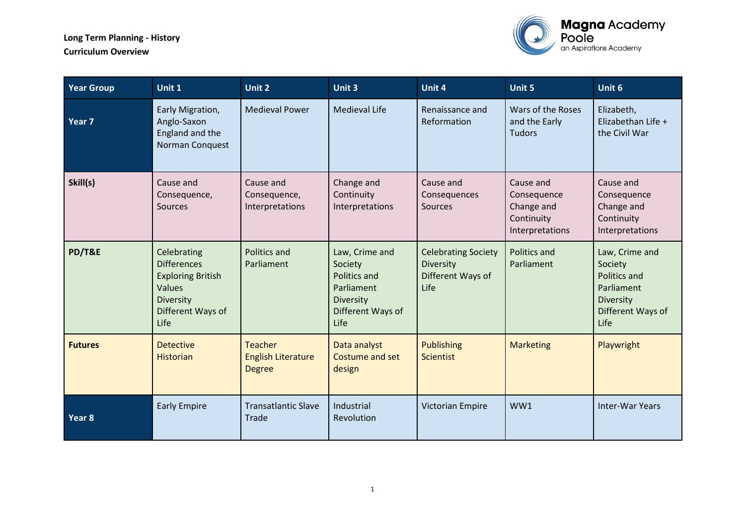

| <b>Year Group</b> | Unit 1                                                                                                                   | Unit 2                                                       | Unit 3                                                                                                   | Unit 4                                                               | <b>Unit 5</b>                                                           | Unit 6                                                                                            |
|-------------------|--------------------------------------------------------------------------------------------------------------------------|--------------------------------------------------------------|----------------------------------------------------------------------------------------------------------|----------------------------------------------------------------------|-------------------------------------------------------------------------|---------------------------------------------------------------------------------------------------|
| Year 7            | Early Migration,<br>Anglo-Saxon<br>England and the<br>Norman Conquest                                                    | <b>Medieval Power</b>                                        | <b>Medieval Life</b>                                                                                     | Renaissance and<br>Reformation                                       | Wars of the Roses<br>and the Early<br><b>Tudors</b>                     | Elizabeth,<br>Elizabethan Life +<br>the Civil War                                                 |
| Skill(s)          | Cause and<br>Consequence,<br><b>Sources</b>                                                                              | Cause and<br>Consequence,<br>Interpretations                 | Change and<br>Continuity<br>Interpretations                                                              | Cause and<br>Consequences<br><b>Sources</b>                          | Cause and<br>Consequence<br>Change and<br>Continuity<br>Interpretations | Cause and<br>Consequence<br>Change and<br>Continuity<br>Interpretations                           |
| PD/T&E            | Celebrating<br><b>Differences</b><br><b>Exploring British</b><br><b>Values</b><br>Diversity<br>Different Ways of<br>Life | <b>Politics and</b><br>Parliament                            | Law, Crime and<br>Society<br><b>Politics and</b><br>Parliament<br>Diversity<br>Different Ways of<br>Life | <b>Celebrating Society</b><br>Diversity<br>Different Ways of<br>Life | Politics and<br>Parliament                                              | Law, Crime and<br>Society<br>Politics and<br>Parliament<br>Diversity<br>Different Ways of<br>Life |
| <b>Futures</b>    | <b>Detective</b><br><b>Historian</b>                                                                                     | <b>Teacher</b><br><b>English Literature</b><br><b>Degree</b> | Data analyst<br>Costume and set<br>design                                                                | <b>Publishing</b><br><b>Scientist</b>                                | <b>Marketing</b>                                                        | Playwright                                                                                        |
| Year 8            | <b>Early Empire</b>                                                                                                      | <b>Transatlantic Slave</b><br>Trade                          | Industrial<br>Revolution                                                                                 | <b>Victorian Empire</b>                                              | WW1                                                                     | <b>Inter-War Years</b>                                                                            |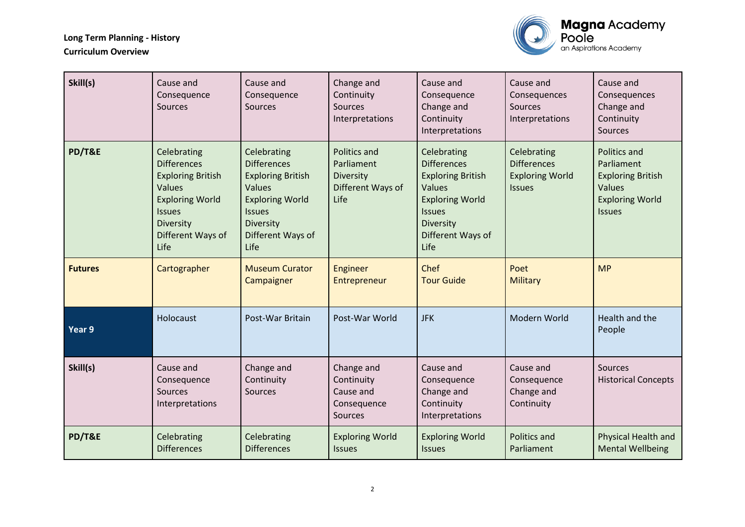

| Skill(s)          | Cause and<br>Consequence<br><b>Sources</b>                                                                                                                                 | Cause and<br>Consequence<br>Sources                                                                                                                          | Change and<br>Continuity<br>Sources<br>Interpretations                 | Cause and<br>Consequence<br>Change and<br>Continuity<br>Interpretations                                                                                      | Cause and<br>Consequences<br>Sources<br>Interpretations                      | Cause and<br>Consequences<br>Change and<br>Continuity<br>Sources                                            |
|-------------------|----------------------------------------------------------------------------------------------------------------------------------------------------------------------------|--------------------------------------------------------------------------------------------------------------------------------------------------------------|------------------------------------------------------------------------|--------------------------------------------------------------------------------------------------------------------------------------------------------------|------------------------------------------------------------------------------|-------------------------------------------------------------------------------------------------------------|
| PD/T&E            | Celebrating<br><b>Differences</b><br><b>Exploring British</b><br><b>Values</b><br><b>Exploring World</b><br><b>Issues</b><br><b>Diversity</b><br>Different Ways of<br>Life | Celebrating<br><b>Differences</b><br><b>Exploring British</b><br>Values<br><b>Exploring World</b><br><b>Issues</b><br>Diversity<br>Different Ways of<br>Life | Politics and<br>Parliament<br>Diversity<br>Different Ways of<br>Life   | Celebrating<br><b>Differences</b><br><b>Exploring British</b><br>Values<br><b>Exploring World</b><br><b>Issues</b><br>Diversity<br>Different Ways of<br>Life | Celebrating<br><b>Differences</b><br><b>Exploring World</b><br><b>Issues</b> | Politics and<br>Parliament<br><b>Exploring British</b><br>Values<br><b>Exploring World</b><br><b>Issues</b> |
| <b>Futures</b>    | Cartographer                                                                                                                                                               | <b>Museum Curator</b><br>Campaigner                                                                                                                          | Engineer<br>Entrepreneur                                               | Chef<br><b>Tour Guide</b>                                                                                                                                    | Poet<br><b>Military</b>                                                      | <b>MP</b>                                                                                                   |
| Year <sub>9</sub> | Holocaust                                                                                                                                                                  | Post-War Britain                                                                                                                                             | Post-War World                                                         | <b>JFK</b>                                                                                                                                                   | Modern World                                                                 | Health and the<br>People                                                                                    |
| Skill(s)          | Cause and<br>Consequence<br><b>Sources</b><br>Interpretations                                                                                                              | Change and<br>Continuity<br>Sources                                                                                                                          | Change and<br>Continuity<br>Cause and<br>Consequence<br><b>Sources</b> | Cause and<br>Consequence<br>Change and<br>Continuity<br>Interpretations                                                                                      | Cause and<br>Consequence<br>Change and<br>Continuity                         | <b>Sources</b><br><b>Historical Concepts</b>                                                                |
| PD/T&E            | Celebrating<br><b>Differences</b>                                                                                                                                          | Celebrating<br><b>Differences</b>                                                                                                                            | <b>Exploring World</b><br><b>Issues</b>                                | <b>Exploring World</b><br><b>Issues</b>                                                                                                                      | <b>Politics and</b><br>Parliament                                            | Physical Health and<br><b>Mental Wellbeing</b>                                                              |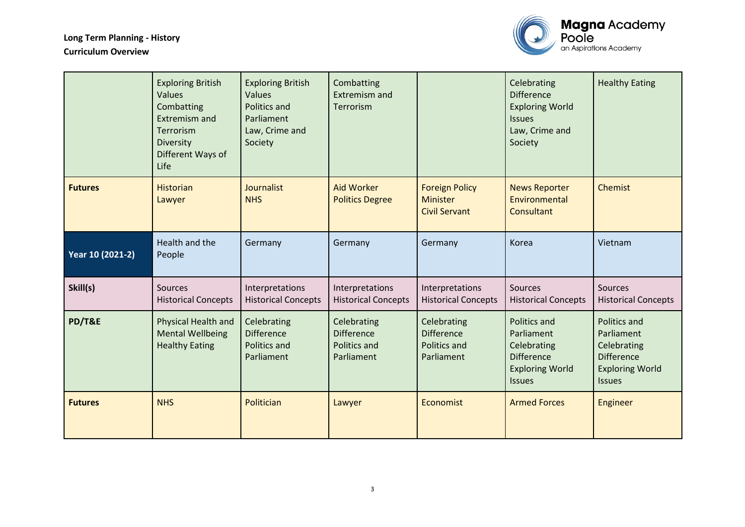

|                  | <b>Exploring British</b><br>Values<br>Combatting<br><b>Extremism and</b><br>Terrorism<br>Diversity<br>Different Ways of<br>Life | <b>Exploring British</b><br>Values<br>Politics and<br>Parliament<br>Law, Crime and<br>Society | Combatting<br>Extremism and<br><b>Terrorism</b>                |                                                                       | Celebrating<br><b>Difference</b><br><b>Exploring World</b><br><b>Issues</b><br>Law, Crime and<br>Society         | <b>Healthy Eating</b>                                                                                            |
|------------------|---------------------------------------------------------------------------------------------------------------------------------|-----------------------------------------------------------------------------------------------|----------------------------------------------------------------|-----------------------------------------------------------------------|------------------------------------------------------------------------------------------------------------------|------------------------------------------------------------------------------------------------------------------|
| <b>Futures</b>   | <b>Historian</b><br>Lawyer                                                                                                      | Journalist<br><b>NHS</b>                                                                      | <b>Aid Worker</b><br><b>Politics Degree</b>                    | <b>Foreign Policy</b><br>Minister<br><b>Civil Servant</b>             | <b>News Reporter</b><br>Environmental<br>Consultant                                                              | <b>Chemist</b>                                                                                                   |
| Year 10 (2021-2) | Health and the<br>People                                                                                                        | Germany                                                                                       | Germany                                                        | Germany                                                               | Korea                                                                                                            | Vietnam                                                                                                          |
| Skill(s)         | <b>Sources</b><br><b>Historical Concepts</b>                                                                                    | Interpretations<br><b>Historical Concepts</b>                                                 | Interpretations<br><b>Historical Concepts</b>                  | Interpretations<br><b>Historical Concepts</b>                         | Sources<br><b>Historical Concepts</b>                                                                            | Sources<br><b>Historical Concepts</b>                                                                            |
| PD/T&E           | Physical Health and<br><b>Mental Wellbeing</b><br><b>Healthy Eating</b>                                                         | Celebrating<br><b>Difference</b><br><b>Politics and</b><br>Parliament                         | Celebrating<br><b>Difference</b><br>Politics and<br>Parliament | Celebrating<br><b>Difference</b><br><b>Politics and</b><br>Parliament | <b>Politics and</b><br>Parliament<br>Celebrating<br><b>Difference</b><br><b>Exploring World</b><br><b>Issues</b> | <b>Politics and</b><br>Parliament<br>Celebrating<br><b>Difference</b><br><b>Exploring World</b><br><b>Issues</b> |
| <b>Futures</b>   | <b>NHS</b>                                                                                                                      | Politician                                                                                    | Lawyer                                                         | Economist                                                             | <b>Armed Forces</b>                                                                                              | Engineer                                                                                                         |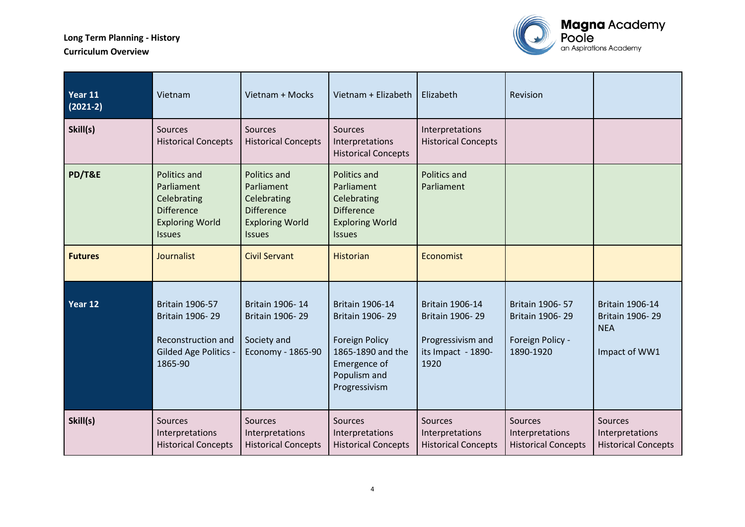

| Year 11<br>$(2021-2)$ | Vietnam                                                                                                    | Vietnam + Mocks                                                                                                  | Vietnam + Elizabeth                                                                                                                      | Elizabeth                                                                                    | Revision                                                                   |                                                                          |
|-----------------------|------------------------------------------------------------------------------------------------------------|------------------------------------------------------------------------------------------------------------------|------------------------------------------------------------------------------------------------------------------------------------------|----------------------------------------------------------------------------------------------|----------------------------------------------------------------------------|--------------------------------------------------------------------------|
| Skill(s)              | <b>Sources</b><br><b>Historical Concepts</b>                                                               | Sources<br><b>Historical Concepts</b>                                                                            | Sources<br>Interpretations<br><b>Historical Concepts</b>                                                                                 | Interpretations<br><b>Historical Concepts</b>                                                |                                                                            |                                                                          |
| PD/T&E                | Politics and<br>Parliament<br>Celebrating<br><b>Difference</b><br><b>Exploring World</b><br><b>Issues</b>  | <b>Politics and</b><br>Parliament<br>Celebrating<br><b>Difference</b><br><b>Exploring World</b><br><b>Issues</b> | <b>Politics and</b><br>Parliament<br>Celebrating<br><b>Difference</b><br><b>Exploring World</b><br><b>Issues</b>                         | <b>Politics and</b><br>Parliament                                                            |                                                                            |                                                                          |
| <b>Futures</b>        | Journalist                                                                                                 | <b>Civil Servant</b>                                                                                             | Historian                                                                                                                                | Economist                                                                                    |                                                                            |                                                                          |
| Year 12               | <b>Britain 1906-57</b><br>Britain 1906-29<br>Reconstruction and<br><b>Gilded Age Politics -</b><br>1865-90 | Britain 1906-14<br>Britain 1906-29<br>Society and<br>Economy - 1865-90                                           | <b>Britain 1906-14</b><br>Britain 1906-29<br><b>Foreign Policy</b><br>1865-1890 and the<br>Emergence of<br>Populism and<br>Progressivism | <b>Britain 1906-14</b><br>Britain 1906-29<br>Progressivism and<br>its Impact - 1890-<br>1920 | <b>Britain 1906-57</b><br>Britain 1906-29<br>Foreign Policy -<br>1890-1920 | <b>Britain 1906-14</b><br>Britain 1906-29<br><b>NEA</b><br>Impact of WW1 |
| Skill(s)              | Sources<br>Interpretations<br><b>Historical Concepts</b>                                                   | <b>Sources</b><br>Interpretations<br><b>Historical Concepts</b>                                                  | Sources<br>Interpretations<br><b>Historical Concepts</b>                                                                                 | Sources<br>Interpretations<br><b>Historical Concepts</b>                                     | <b>Sources</b><br>Interpretations<br><b>Historical Concepts</b>            | Sources<br>Interpretations<br><b>Historical Concepts</b>                 |